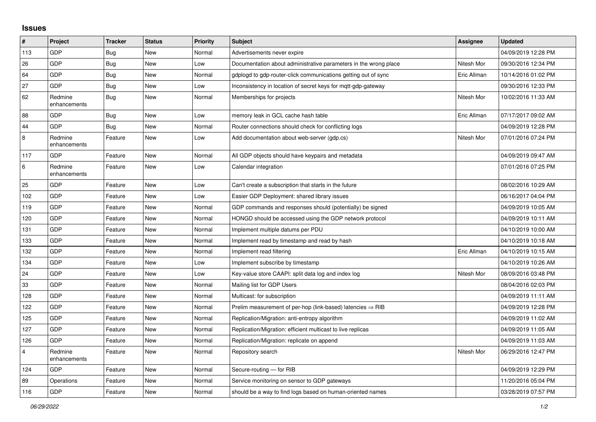## **Issues**

| #              | Project                 | <b>Tracker</b> | <b>Status</b> | <b>Priority</b> | <b>Subject</b>                                                         | <b>Assignee</b> | <b>Updated</b>      |
|----------------|-------------------------|----------------|---------------|-----------------|------------------------------------------------------------------------|-----------------|---------------------|
| 113            | GDP                     | Bug            | <b>New</b>    | Normal          | Advertisements never expire                                            |                 | 04/09/2019 12:28 PM |
| 26             | GDP                     | <b>Bug</b>     | New           | Low             | Documentation about administrative parameters in the wrong place       | Nitesh Mor      | 09/30/2016 12:34 PM |
| 64             | GDP                     | Bug            | <b>New</b>    | Normal          | gdplogd to gdp-router-click communications getting out of sync         | Eric Allman     | 10/14/2016 01:02 PM |
| 27             | GDP                     | Bug            | <b>New</b>    | Low             | Inconsistency in location of secret keys for mgtt-gdp-gateway          |                 | 09/30/2016 12:33 PM |
| 62             | Redmine<br>enhancements | <b>Bug</b>     | New           | Normal          | Memberships for projects                                               | Nitesh Mor      | 10/02/2016 11:33 AM |
| 88             | GDP                     | Bug            | <b>New</b>    | Low             | memory leak in GCL cache hash table                                    | Eric Allman     | 07/17/2017 09:02 AM |
| 44             | GDP                     | <b>Bug</b>     | New           | Normal          | Router connections should check for conflicting logs                   |                 | 04/09/2019 12:28 PM |
| 8              | Redmine<br>enhancements | Feature        | <b>New</b>    | Low             | Add documentation about web-server (gdp.cs)                            | Nitesh Mor      | 07/01/2016 07:24 PM |
| 117            | GDP                     | Feature        | <b>New</b>    | Normal          | All GDP objects should have keypairs and metadata                      |                 | 04/09/2019 09:47 AM |
| 6              | Redmine<br>enhancements | Feature        | New           | Low             | Calendar integration                                                   |                 | 07/01/2016 07:25 PM |
| 25             | GDP                     | Feature        | <b>New</b>    | Low             | Can't create a subscription that starts in the future                  |                 | 08/02/2016 10:29 AM |
| 102            | GDP                     | Feature        | New           | Low             | Easier GDP Deployment: shared library issues                           |                 | 06/16/2017 04:04 PM |
| 119            | GDP                     | Feature        | <b>New</b>    | Normal          | GDP commands and responses should (potentially) be signed              |                 | 04/09/2019 10:05 AM |
| 120            | GDP                     | Feature        | <b>New</b>    | Normal          | HONGD should be accessed using the GDP network protocol                |                 | 04/09/2019 10:11 AM |
| 131            | GDP                     | Feature        | New           | Normal          | Implement multiple datums per PDU                                      |                 | 04/10/2019 10:00 AM |
| 133            | GDP                     | Feature        | <b>New</b>    | Normal          | Implement read by timestamp and read by hash                           |                 | 04/10/2019 10:18 AM |
| 132            | GDP                     | Feature        | <b>New</b>    | Normal          | Implement read filtering                                               | Eric Allman     | 04/10/2019 10:15 AM |
| 134            | GDP                     | Feature        | New           | Low             | Implement subscribe by timestamp                                       |                 | 04/10/2019 10:26 AM |
| 24             | GDP                     | Feature        | <b>New</b>    | Low             | Key-value store CAAPI: split data log and index log                    | Nitesh Mor      | 08/09/2016 03:48 PM |
| 33             | GDP                     | Feature        | <b>New</b>    | Normal          | Mailing list for GDP Users                                             |                 | 08/04/2016 02:03 PM |
| 128            | GDP                     | Feature        | New           | Normal          | Multicast: for subscription                                            |                 | 04/09/2019 11:11 AM |
| 122            | GDP                     | Feature        | <b>New</b>    | Normal          | Prelim measurement of per-hop (link-based) latencies $\Rightarrow$ RIB |                 | 04/09/2019 12:28 PM |
| 125            | GDP                     | Feature        | <b>New</b>    | Normal          | Replication/Migration: anti-entropy algorithm                          |                 | 04/09/2019 11:02 AM |
| 127            | GDP                     | Feature        | New           | Normal          | Replication/Migration: efficient multicast to live replicas            |                 | 04/09/2019 11:05 AM |
| 126            | GDP                     | Feature        | New           | Normal          | Replication/Migration: replicate on append                             |                 | 04/09/2019 11:03 AM |
| $\overline{4}$ | Redmine<br>enhancements | Feature        | <b>New</b>    | Normal          | Repository search                                                      | Nitesh Mor      | 06/29/2016 12:47 PM |
| 124            | GDP                     | Feature        | <b>New</b>    | Normal          | Secure-routing - for RIB                                               |                 | 04/09/2019 12:29 PM |
| 89             | Operations              | Feature        | <b>New</b>    | Normal          | Service monitoring on sensor to GDP gateways                           |                 | 11/20/2016 05:04 PM |
| 116            | GDP                     | Feature        | New           | Normal          | should be a way to find logs based on human-oriented names             |                 | 03/28/2019 07:57 PM |